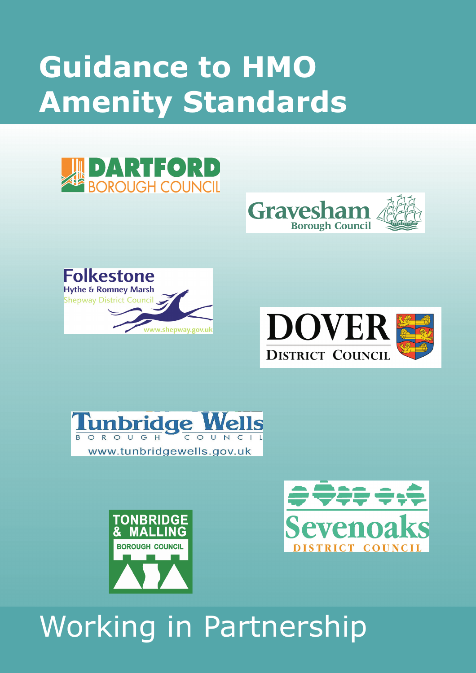# **Guidance to HMO Amenity Standards**















## Working in Partnership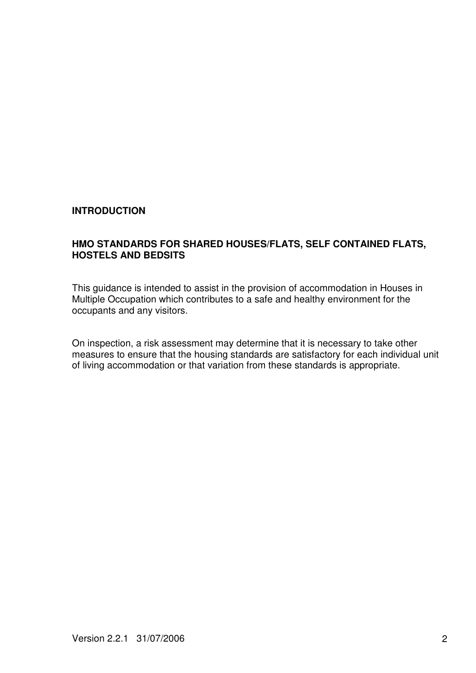#### **INTRODUCTION**

#### **HMO STANDARDS FOR SHARED HOUSES/FLATS, SELF CONTAINED FLATS, HOSTELS AND BEDSITS**

This guidance is intended to assist in the provision of accommodation in Houses in Multiple Occupation which contributes to a safe and healthy environment for the occupants and any visitors.

On inspection, a risk assessment may determine that it is necessary to take other measures to ensure that the housing standards are satisfactory for each individual unit of living accommodation or that variation from these standards is appropriate.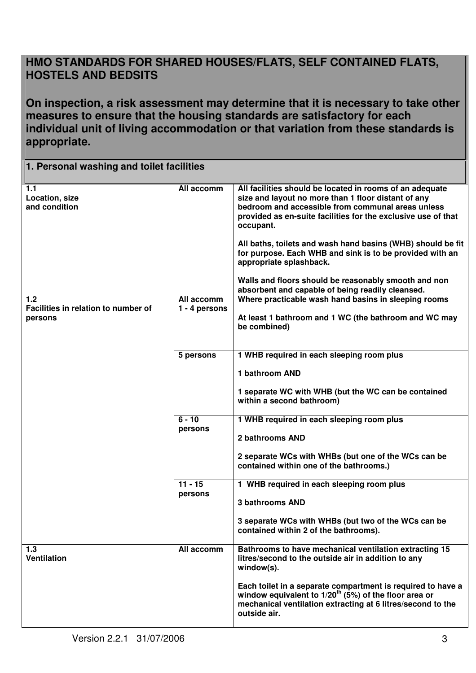### **HMO STANDARDS FOR SHARED HOUSES/FLATS, SELF CONTAINED FLATS, HOSTELS AND BEDSITS**

**On inspection, a risk assessment may determine that it is necessary to take other measures to ensure that the housing standards are satisfactory for each individual unit of living accommodation or that variation from these standards is appropriate.**

| 1. Personal washing and toilet facilities             |                                             |                                                                                                                                                                                                                                                                                                                                                                                                                                                                                                                      |  |  |  |
|-------------------------------------------------------|---------------------------------------------|----------------------------------------------------------------------------------------------------------------------------------------------------------------------------------------------------------------------------------------------------------------------------------------------------------------------------------------------------------------------------------------------------------------------------------------------------------------------------------------------------------------------|--|--|--|
| 1.1<br>Location, size<br>and condition                | All accomm                                  | All facilities should be located in rooms of an adequate<br>size and layout no more than 1 floor distant of any<br>bedroom and accessible from communal areas unless<br>provided as en-suite facilities for the exclusive use of that<br>occupant.<br>All baths, toilets and wash hand basins (WHB) should be fit<br>for purpose. Each WHB and sink is to be provided with an<br>appropriate splashback.<br>Walls and floors should be reasonably smooth and non<br>absorbent and capable of being readily cleansed. |  |  |  |
| 1.2<br>Facilities in relation to number of<br>persons | All accomm<br>1 - 4 persons                 | Where practicable wash hand basins in sleeping rooms<br>At least 1 bathroom and 1 WC (the bathroom and WC may<br>be combined)                                                                                                                                                                                                                                                                                                                                                                                        |  |  |  |
|                                                       | 5 persons                                   | 1 WHB required in each sleeping room plus<br>1 bathroom AND<br>1 separate WC with WHB (but the WC can be contained<br>within a second bathroom)                                                                                                                                                                                                                                                                                                                                                                      |  |  |  |
|                                                       | $6 - 10$<br>persons<br>$11 - 15$<br>persons | 1 WHB required in each sleeping room plus<br>2 bathrooms AND<br>2 separate WCs with WHBs (but one of the WCs can be<br>contained within one of the bathrooms.)<br>1 WHB required in each sleeping room plus<br><b>3 bathrooms AND</b><br>3 separate WCs with WHBs (but two of the WCs can be<br>contained within 2 of the bathrooms).                                                                                                                                                                                |  |  |  |
| 1.3<br><b>Ventilation</b>                             | All accomm                                  | Bathrooms to have mechanical ventilation extracting 15<br>litres/second to the outside air in addition to any<br>window(s).<br>Each toilet in a separate compartment is required to have a<br>window equivalent to $1/20^{th}$ (5%) of the floor area or<br>mechanical ventilation extracting at 6 litres/second to the<br>outside air.                                                                                                                                                                              |  |  |  |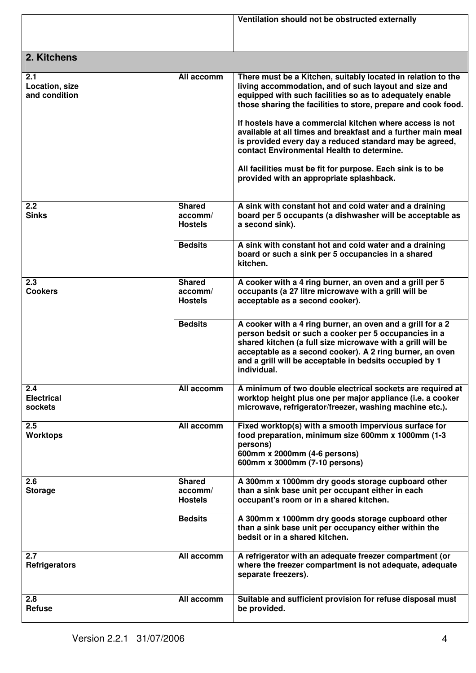|                                        |                                                       | Ventilation should not be obstructed externally                                                                                                                                                                                                                                                                                                                                                                                                                                                                                                                                                   |
|----------------------------------------|-------------------------------------------------------|---------------------------------------------------------------------------------------------------------------------------------------------------------------------------------------------------------------------------------------------------------------------------------------------------------------------------------------------------------------------------------------------------------------------------------------------------------------------------------------------------------------------------------------------------------------------------------------------------|
| 2. Kitchens                            |                                                       |                                                                                                                                                                                                                                                                                                                                                                                                                                                                                                                                                                                                   |
| 2.1<br>Location, size<br>and condition | All accomm                                            | There must be a Kitchen, suitably located in relation to the<br>living accommodation, and of such layout and size and<br>equipped with such facilities so as to adequately enable<br>those sharing the facilities to store, prepare and cook food.<br>If hostels have a commercial kitchen where access is not<br>available at all times and breakfast and a further main meal<br>is provided every day a reduced standard may be agreed,<br>contact Environmental Health to determine.<br>All facilities must be fit for purpose. Each sink is to be<br>provided with an appropriate splashback. |
| 2.2<br><b>Sinks</b>                    | <b>Shared</b><br>$\mathsf{accomm}/$<br><b>Hostels</b> | A sink with constant hot and cold water and a draining<br>board per 5 occupants (a dishwasher will be acceptable as<br>a second sink).                                                                                                                                                                                                                                                                                                                                                                                                                                                            |
|                                        | <b>Bedsits</b>                                        | A sink with constant hot and cold water and a draining<br>board or such a sink per 5 occupancies in a shared<br>kitchen.                                                                                                                                                                                                                                                                                                                                                                                                                                                                          |
| 2.3<br><b>Cookers</b>                  | <b>Shared</b><br>accomm/<br><b>Hostels</b>            | A cooker with a 4 ring burner, an oven and a grill per 5<br>occupants (a 27 litre microwave with a grill will be<br>acceptable as a second cooker).                                                                                                                                                                                                                                                                                                                                                                                                                                               |
|                                        | <b>Bedsits</b>                                        | A cooker with a 4 ring burner, an oven and a grill for a 2<br>person bedsit or such a cooker per 5 occupancies in a<br>shared kitchen (a full size microwave with a grill will be<br>acceptable as a second cooker). A 2 ring burner, an oven<br>and a grill will be acceptable in bedsits occupied by 1<br>individual.                                                                                                                                                                                                                                                                           |
| 2.4<br><b>Electrical</b><br>sockets    | All accomm                                            | A minimum of two double electrical sockets are required at<br>worktop height plus one per major appliance (i.e. a cooker<br>microwave, refrigerator/freezer, washing machine etc.).                                                                                                                                                                                                                                                                                                                                                                                                               |
| 2.5<br><b>Worktops</b>                 | All accomm                                            | Fixed worktop(s) with a smooth impervious surface for<br>food preparation, minimum size 600mm x 1000mm (1-3<br>persons)<br>600mm x 2000mm (4-6 persons)<br>600mm x 3000mm (7-10 persons)                                                                                                                                                                                                                                                                                                                                                                                                          |
| 2.6<br><b>Storage</b>                  | <b>Shared</b><br>accomm/<br><b>Hostels</b>            | A 300mm x 1000mm dry goods storage cupboard other<br>than a sink base unit per occupant either in each<br>occupant's room or in a shared kitchen.                                                                                                                                                                                                                                                                                                                                                                                                                                                 |
|                                        | <b>Bedsits</b>                                        | A 300mm x 1000mm dry goods storage cupboard other<br>than a sink base unit per occupancy either within the<br>bedsit or in a shared kitchen.                                                                                                                                                                                                                                                                                                                                                                                                                                                      |
| 2.7<br><b>Refrigerators</b>            | All accomm                                            | A refrigerator with an adequate freezer compartment (or<br>where the freezer compartment is not adequate, adequate<br>separate freezers).                                                                                                                                                                                                                                                                                                                                                                                                                                                         |
| 2.8<br><b>Refuse</b>                   | All accomm                                            | Suitable and sufficient provision for refuse disposal must<br>be provided.                                                                                                                                                                                                                                                                                                                                                                                                                                                                                                                        |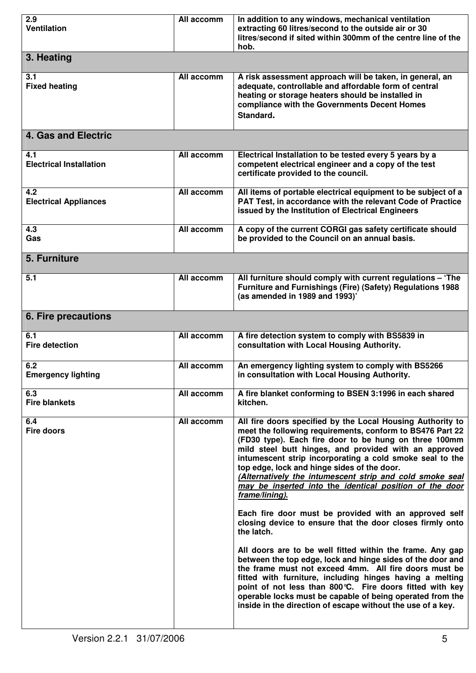| 2.9<br><b>Ventilation</b>             | All accomm | In addition to any windows, mechanical ventilation<br>extracting 60 litres/second to the outside air or 30<br>litres/second if sited within 300mm of the centre line of the<br>hob.                                                                                                                                                                                                                                                                                                                                                                                                                                                                                                                                                                                                                                                                                                                                                                                                                                                                                        |  |  |  |
|---------------------------------------|------------|----------------------------------------------------------------------------------------------------------------------------------------------------------------------------------------------------------------------------------------------------------------------------------------------------------------------------------------------------------------------------------------------------------------------------------------------------------------------------------------------------------------------------------------------------------------------------------------------------------------------------------------------------------------------------------------------------------------------------------------------------------------------------------------------------------------------------------------------------------------------------------------------------------------------------------------------------------------------------------------------------------------------------------------------------------------------------|--|--|--|
| 3. Heating                            |            |                                                                                                                                                                                                                                                                                                                                                                                                                                                                                                                                                                                                                                                                                                                                                                                                                                                                                                                                                                                                                                                                            |  |  |  |
| 3.1<br><b>Fixed heating</b>           | All accomm | A risk assessment approach will be taken, in general, an<br>adequate, controllable and affordable form of central<br>heating or storage heaters should be installed in<br>compliance with the Governments Decent Homes<br>Standard.                                                                                                                                                                                                                                                                                                                                                                                                                                                                                                                                                                                                                                                                                                                                                                                                                                        |  |  |  |
| <b>4. Gas and Electric</b>            |            |                                                                                                                                                                                                                                                                                                                                                                                                                                                                                                                                                                                                                                                                                                                                                                                                                                                                                                                                                                                                                                                                            |  |  |  |
| 4.1<br><b>Electrical Installation</b> | All accomm | Electrical Installation to be tested every 5 years by a<br>competent electrical engineer and a copy of the test<br>certificate provided to the council.                                                                                                                                                                                                                                                                                                                                                                                                                                                                                                                                                                                                                                                                                                                                                                                                                                                                                                                    |  |  |  |
| 4.2<br><b>Electrical Appliances</b>   | All accomm | All items of portable electrical equipment to be subject of a<br>PAT Test, in accordance with the relevant Code of Practice<br>issued by the Institution of Electrical Engineers                                                                                                                                                                                                                                                                                                                                                                                                                                                                                                                                                                                                                                                                                                                                                                                                                                                                                           |  |  |  |
| 4.3<br>Gas                            | All accomm | A copy of the current CORGI gas safety certificate should<br>be provided to the Council on an annual basis.                                                                                                                                                                                                                                                                                                                                                                                                                                                                                                                                                                                                                                                                                                                                                                                                                                                                                                                                                                |  |  |  |
| 5. Furniture                          |            |                                                                                                                                                                                                                                                                                                                                                                                                                                                                                                                                                                                                                                                                                                                                                                                                                                                                                                                                                                                                                                                                            |  |  |  |
| 5.1                                   | All accomm | All furniture should comply with current regulations - 'The<br>Furniture and Furnishings (Fire) (Safety) Regulations 1988<br>(as amended in 1989 and 1993)'                                                                                                                                                                                                                                                                                                                                                                                                                                                                                                                                                                                                                                                                                                                                                                                                                                                                                                                |  |  |  |
| 6. Fire precautions                   |            |                                                                                                                                                                                                                                                                                                                                                                                                                                                                                                                                                                                                                                                                                                                                                                                                                                                                                                                                                                                                                                                                            |  |  |  |
| 6.1<br><b>Fire detection</b>          | All accomm | A fire detection system to comply with BS5839 in<br>consultation with Local Housing Authority.                                                                                                                                                                                                                                                                                                                                                                                                                                                                                                                                                                                                                                                                                                                                                                                                                                                                                                                                                                             |  |  |  |
| 6.2<br><b>Emergency lighting</b>      | All accomm | An emergency lighting system to comply with BS5266<br>in consultation with Local Housing Authority.                                                                                                                                                                                                                                                                                                                                                                                                                                                                                                                                                                                                                                                                                                                                                                                                                                                                                                                                                                        |  |  |  |
| 6.3<br><b>Fire blankets</b>           | All accomm | A fire blanket conforming to BSEN 3:1996 in each shared<br>kitchen.                                                                                                                                                                                                                                                                                                                                                                                                                                                                                                                                                                                                                                                                                                                                                                                                                                                                                                                                                                                                        |  |  |  |
| 6.4<br><b>Fire doors</b>              | All accomm | All fire doors specified by the Local Housing Authority to<br>meet the following requirements, conform to BS476 Part 22<br>(FD30 type). Each fire door to be hung on three 100mm<br>mild steel butt hinges, and provided with an approved<br>intumescent strip incorporating a cold smoke seal to the<br>top edge, lock and hinge sides of the door.<br>(Alternatively the intumescent strip and cold smoke seal<br>may be inserted into the identical position of the door<br>frame/lining).<br>Each fire door must be provided with an approved self<br>closing device to ensure that the door closes firmly onto<br>the latch.<br>All doors are to be well fitted within the frame. Any gap<br>between the top edge, lock and hinge sides of the door and<br>the frame must not exceed 4mm. All fire doors must be<br>fitted with furniture, including hinges having a melting<br>point of not less than 800 °C. Fire doors fitted with key<br>operable locks must be capable of being operated from the<br>inside in the direction of escape without the use of a key. |  |  |  |
|                                       |            |                                                                                                                                                                                                                                                                                                                                                                                                                                                                                                                                                                                                                                                                                                                                                                                                                                                                                                                                                                                                                                                                            |  |  |  |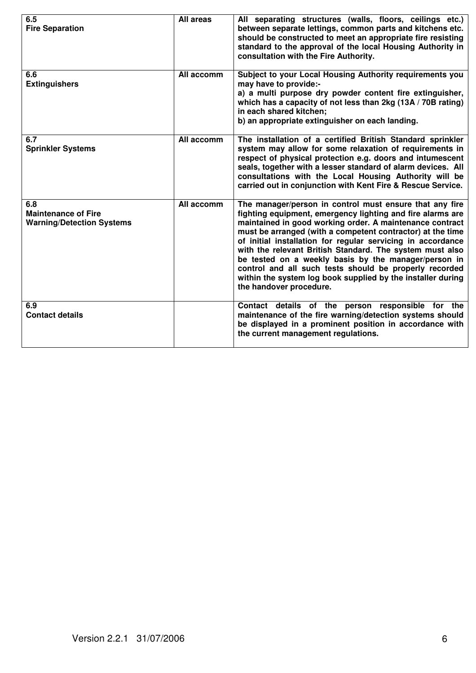| 6.5<br><b>Fire Separation</b>                                         | All areas  | All separating structures (walls, floors, ceilings etc.)<br>between separate lettings, common parts and kitchens etc.<br>should be constructed to meet an appropriate fire resisting<br>standard to the approval of the local Housing Authority in<br>consultation with the Fire Authority.                                                                                                                                                                                                                                                                                            |
|-----------------------------------------------------------------------|------------|----------------------------------------------------------------------------------------------------------------------------------------------------------------------------------------------------------------------------------------------------------------------------------------------------------------------------------------------------------------------------------------------------------------------------------------------------------------------------------------------------------------------------------------------------------------------------------------|
| 6.6<br><b>Extinguishers</b>                                           | All accomm | Subject to your Local Housing Authority requirements you<br>may have to provide:-<br>a) a multi purpose dry powder content fire extinguisher,<br>which has a capacity of not less than 2kg (13A / 70B rating)<br>in each shared kitchen:<br>b) an appropriate extinguisher on each landing.                                                                                                                                                                                                                                                                                            |
| 6.7<br><b>Sprinkler Systems</b>                                       | All accomm | The installation of a certified British Standard sprinkler<br>system may allow for some relaxation of requirements in<br>respect of physical protection e.g. doors and intumescent<br>seals, together with a lesser standard of alarm devices. All<br>consultations with the Local Housing Authority will be<br>carried out in conjunction with Kent Fire & Rescue Service.                                                                                                                                                                                                            |
| 6.8<br><b>Maintenance of Fire</b><br><b>Warning/Detection Systems</b> | All accomm | The manager/person in control must ensure that any fire<br>fighting equipment, emergency lighting and fire alarms are<br>maintained in good working order. A maintenance contract<br>must be arranged (with a competent contractor) at the time<br>of initial installation for regular servicing in accordance<br>with the relevant British Standard. The system must also<br>be tested on a weekly basis by the manager/person in<br>control and all such tests should be properly recorded<br>within the system log book supplied by the installer during<br>the handover procedure. |
| 6.9<br><b>Contact details</b>                                         |            | Contact details of the person responsible for the<br>maintenance of the fire warning/detection systems should<br>be displayed in a prominent position in accordance with<br>the current management regulations.                                                                                                                                                                                                                                                                                                                                                                        |